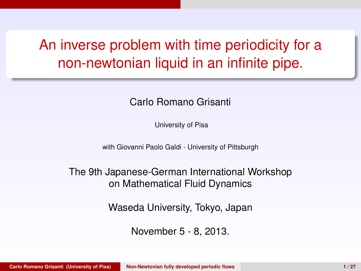# An inverse problem with time periodicity for a non-newtonian liquid in an infinite pipe.

#### Carlo Romano Grisanti

University of Pisa

with Giovanni Paolo Galdi - University of Pittsburgh

The 9th Japanese-German International Workshop on Mathematical Fluid Dynamics

Waseda University, Tokyo, Japan

<span id="page-0-0"></span>November 5 - 8, 2013.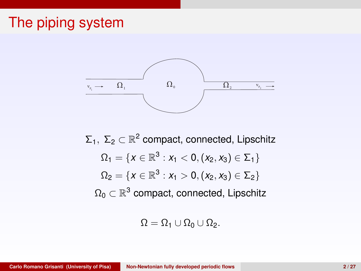#### The piping system



 $\Sigma_1, \Sigma_2 \subset \mathbb{R}^2$  compact, connected, Lipschitz  $\Omega_1 = \{ \mathsf{x} \in \mathbb{R}^3 : \mathsf{x}_1 < 0, (\mathsf{x}_2,\mathsf{x}_3) \in \Sigma_1 \}$  $\Omega_2 = \{ \textit{x} \in \mathbb{R}^3 : x_1 > 0, (x_2, x_3) \in \Sigma_2 \}$  $\Omega_0\subset\mathbb{R}^3$  compact, connected, Lipschitz

 $\Omega = \Omega_1 \cup \Omega_0 \cup \Omega_2.$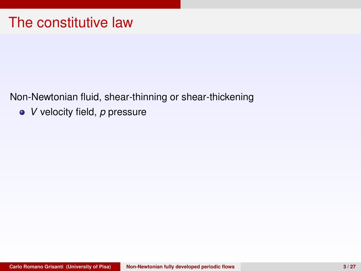Non-Newtonian fluid, shear-thinning or shear-thickening

*V* velocity field, *p* pressure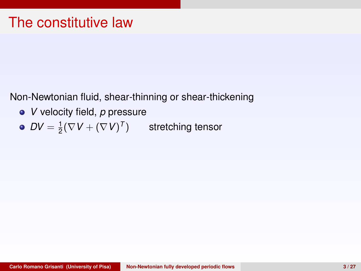- *V* velocity field, *p* pressure
- $DV = \frac{1}{2}(\nabla V + (\nabla V)^T)$ stretching tensor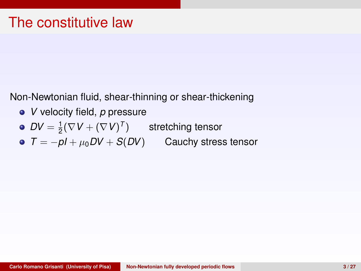- *V* velocity field, *p* pressure
- $DV = \frac{1}{2}(\nabla V + (\nabla V)^T)$  stretching tensor
- *T* = −*pI* + µ0*DV* + *S*(*DV*) Cauchy stress tensor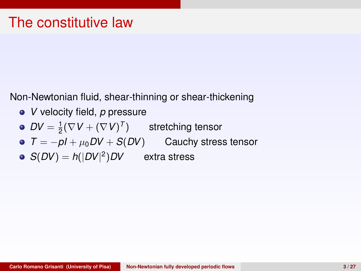- *V* velocity field, *p* pressure
- $DV = \frac{1}{2}(\nabla V + (\nabla V)^T)$ stretching tensor
- *T* = −*pI* + µ0*DV* + *S*(*DV*) Cauchy stress tensor
- $S(DV) = h(|DV|^2)$ extra stress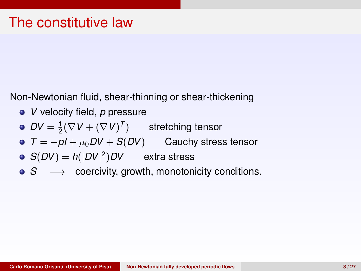- *V* velocity field, *p* pressure
- $DV = \frac{1}{2}(\nabla V + (\nabla V)^T)$  stretching tensor
- *T* = −*pI* + µ0*DV* + *S*(*DV*) Cauchy stress tensor
- $S(DV) = h(|DV|^2)DV$  extra stress
- **•** *S* → coercivity, growth, monotonicity conditions.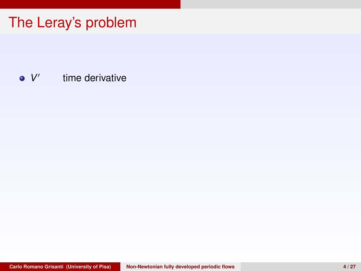*V* 0 time derivative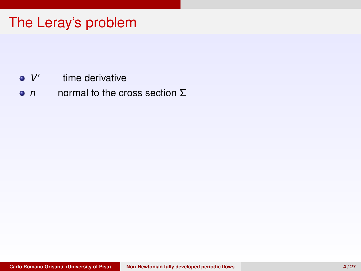- *V* 0 time derivative
- *n* normal to the cross section Σ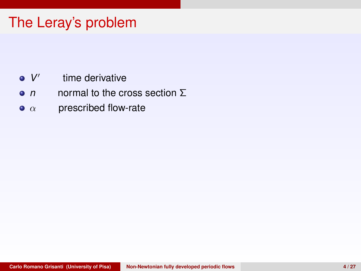- *V* 0 time derivative
- *n* normal to the cross section Σ
- $\bullet$   $\alpha$  prescribed flow-rate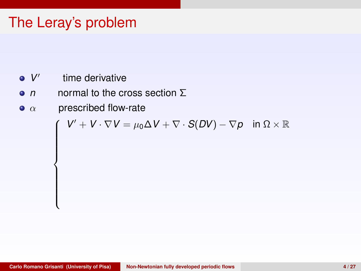*V* 0 time derivative

 $\overline{\mathcal{L}}$ 

- *n* normal to the cross section Σ
- $\bullet$   $\alpha$  prescribed flow-rate

$$
\int V' + V \cdot \nabla V = \mu_0 \Delta V + \nabla \cdot S(DV) - \nabla p \quad \text{in } \Omega \times \mathbb{R}
$$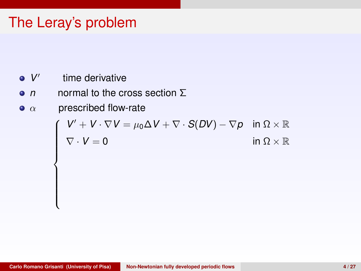*V* 0 time derivative

 $\overline{\mathcal{L}}$ 

- *n* normal to the cross section Σ
- $\bullet$   $\alpha$  prescribed flow-rate

$$
\left\{\n\begin{array}{ll}\nV' + V \cdot \nabla V = \mu_0 \Delta V + \nabla \cdot S(DV) - \nabla p & \text{in } \Omega \times \mathbb{R} \\
\nabla \cdot V = 0 & \text{in } \Omega \times \mathbb{R}\n\end{array}\n\right.
$$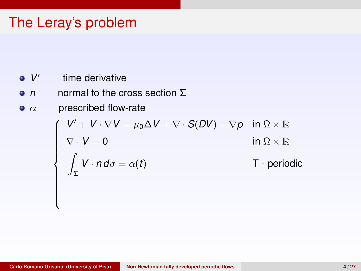- *V* 0 time derivative
- *n* normal to the cross section Σ
- $\bullet$   $\alpha$  prescribed flow-rate

$$
\begin{cases}\nV' + V \cdot \nabla V = \mu_0 \Delta V + \nabla \cdot S(DV) - \nabla p & \text{in } \Omega \times \mathbb{R} \\
\nabla \cdot V = 0 & \text{in } \Omega \times \mathbb{R} \\
\int_{\Sigma} V \cdot n \, d\sigma = \alpha(t) & \text{T - periodic} \\
\end{cases}
$$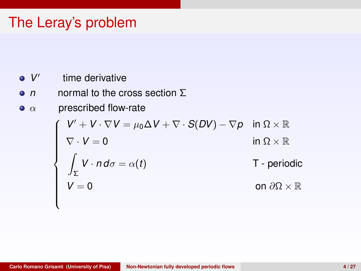- *V* 0 time derivative
- *n* normal to the cross section Σ
- $\bullet$   $\alpha$  prescribed flow-rate

$$
\begin{cases}\nV' + V \cdot \nabla V = \mu_0 \Delta V + \nabla \cdot S(DV) - \nabla p & \text{in } \Omega \times \mathbb{R} \\
\nabla \cdot V = 0 & \text{in } \Omega \times \mathbb{R} \\
\int_{\Sigma} V \cdot n \, d\sigma = \alpha(t) & \text{T - periodic} \\
V = 0 & \text{on } \partial \Omega \times \mathbb{R}\n\end{cases}
$$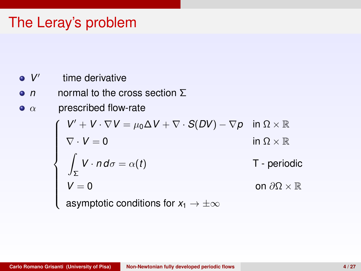- *V* 0 time derivative
- *n* normal to the cross section Σ
- $\bullet$   $\alpha$  prescribed flow-rate

$$
\begin{cases}\nV' + V \cdot \nabla V = \mu_0 \Delta V + \nabla \cdot S(DV) - \nabla p & \text{in } \Omega \times \mathbb{R} \\
\nabla \cdot V = 0 & \text{in } \Omega \times \mathbb{R} \\
\int_{\Sigma} V \cdot n \, d\sigma = \alpha(t) & \text{T - periodic} \\
V = 0 & \text{on } \partial \Omega \times \mathbb{R} \\
\text{asymptotic conditions for } x_1 \to \pm \infty\n\end{cases}
$$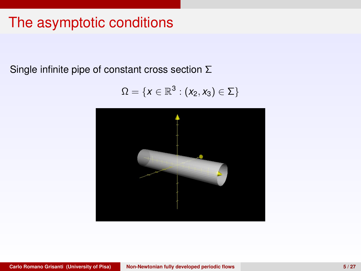## The asymptotic conditions

Single infinite pipe of constant cross section Σ

$$
\Omega=\{x\in\mathbb{R}^3:(x_2,x_3)\in\Sigma\}
$$

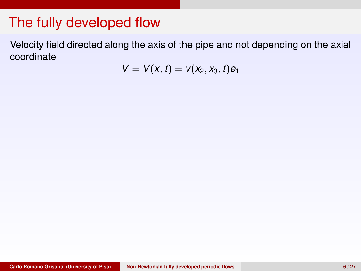Velocity field directed along the axis of the pipe and not depending on the axial coordinate

$$
V=V(x,t)=v(x_2,x_3,t)e_1
$$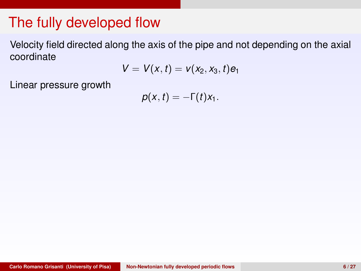Velocity field directed along the axis of the pipe and not depending on the axial coordinate

$$
V=V(x,t)=v(x_2,x_3,t)e_1
$$

Linear pressure growth

$$
p(x,t)=-\Gamma(t)x_1.
$$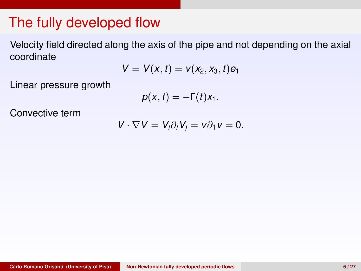Velocity field directed along the axis of the pipe and not depending on the axial coordinate

$$
V=V(x,t)=v(x_2,x_3,t)e_1
$$

Linear pressure growth

$$
p(x,t)=-\Gamma(t)x_1.
$$

Convective term

$$
V\cdot \nabla V=V_i\partial_i V_j=v\partial_1 v=0.
$$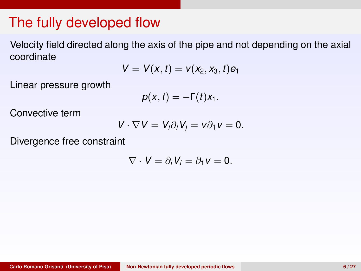Velocity field directed along the axis of the pipe and not depending on the axial coordinate

$$
V=V(x,t)=v(x_2,x_3,t)e_1
$$

Linear pressure growth

$$
p(x,t)=-\Gamma(t)x_1.
$$

Convective term

$$
V\cdot \nabla V=V_i\partial_i V_j=v\partial_1 v=0.
$$

Divergence free constraint

$$
\nabla \cdot V = \partial_i V_i = \partial_1 v = 0.
$$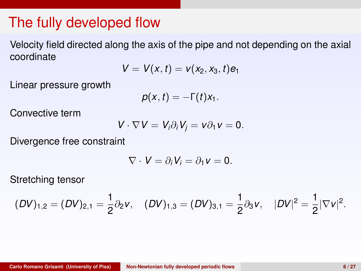Velocity field directed along the axis of the pipe and not depending on the axial coordinate

$$
V=V(x,t)=v(x_2,x_3,t)e_1
$$

Linear pressure growth

$$
p(x,t)=-\Gamma(t)x_1.
$$

Convective term

$$
V\cdot \nabla V=V_i\partial_i V_j=v\partial_1 v=0.
$$

Divergence free constraint

$$
\nabla \cdot \mathbf{V} = \partial_i \mathbf{V}_i = \partial_1 \mathbf{v} = \mathbf{0}.
$$

Stretching tensor

$$
(DV)_{1,2}=(DV)_{2,1}=\frac{1}{2}\partial_2 v,\quad (DV)_{1,3}=(DV)_{3,1}=\frac{1}{2}\partial_3 v,\quad |DV|^2=\frac{1}{2}|\nabla v|^2.
$$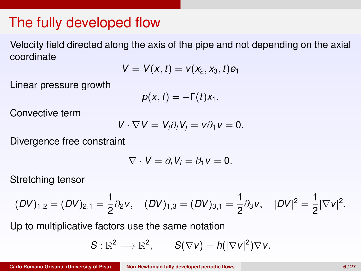Velocity field directed along the axis of the pipe and not depending on the axial coordinate

$$
V=V(x,t)=v(x_2,x_3,t)e_1
$$

Linear pressure growth

$$
p(x,t)=-\Gamma(t)x_1.
$$

Convective term

$$
V\cdot \nabla V=V_i\partial_i V_j=v\partial_1 v=0.
$$

Divergence free constraint

$$
\nabla \cdot \mathbf{V} = \partial_i \mathbf{V}_i = \partial_1 \mathbf{v} = \mathbf{0}.
$$

Stretching tensor

$$
(DV)_{1,2}=(DV)_{2,1}=\frac{1}{2}\partial_2 v,\quad (DV)_{1,3}=(DV)_{3,1}=\frac{1}{2}\partial_3 v,\quad |DV|^2=\frac{1}{2}|\nabla v|^2.
$$

Up to multiplicative factors use the same notation

$$
S: \mathbb{R}^2 \longrightarrow \mathbb{R}^2, \qquad S(\nabla v) = h(|\nabla v|^2) \nabla v.
$$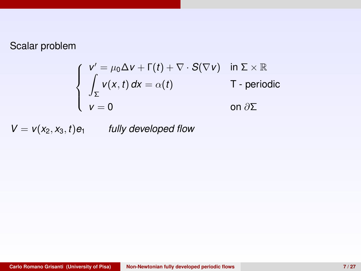$$
\begin{cases}\n v' = \mu_0 \Delta v + \Gamma(t) + \nabla \cdot S(\nabla v) & \text{in } \Sigma \times \mathbb{R} \\
 \int_{\Sigma} v(x, t) dx = \alpha(t) & \text{T - periodic} \\
 v = 0 & \text{on } \partial \Sigma\n\end{cases}
$$

 $V = v(x_2, x_3, t) e_1$  *fully developed flow*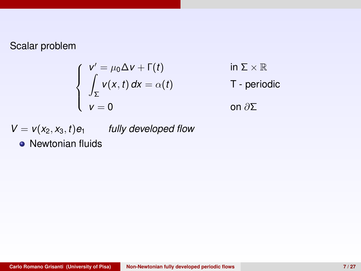$$
\begin{cases}\n v' = \mu_0 \Delta v + \Gamma(t) & \text{in } \Sigma \times \mathbb{R} \\
 \int_{\Sigma} v(x, t) dx = \alpha(t) & \text{T - periodic} \\
 v = 0 & \text{on } \partial \Sigma\n\end{cases}
$$

 $V = v(x_2, x_3, t) e_1$  *fully developed flow* 

• Newtonian fluids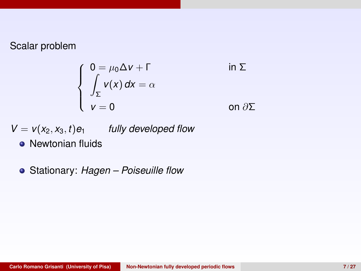$$
\begin{cases}\n0 = \mu_0 \Delta v + \Gamma & \text{in } \Sigma \\
\int_{\Sigma} v(x) dx = \alpha & \text{on } \partial \Sigma\n\end{cases}
$$

$$
V = v(x_2, x_3, t) e_1
$$
 fully developed flow

- Newtonian fluids
- Stationary: *Hagen Poiseuille flow*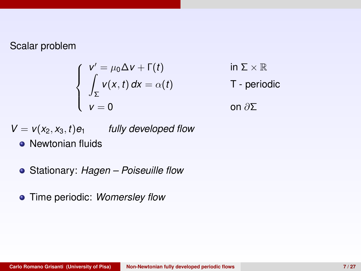$$
\begin{cases}\n v' = \mu_0 \Delta v + \Gamma(t) & \text{in } \Sigma \times \mathbb{R} \\
 \int_{\Sigma} v(x, t) dx = \alpha(t) & \text{T - periodic} \\
 v = 0 & \text{on } \partial \Sigma\n\end{cases}
$$

 $V = v(x_2, x_3, t) e_1$  *fully developed flow* 

- **Newtonian fluids**
- Stationary: *Hagen Poiseuille flow*
- Time periodic: *Womersley flow*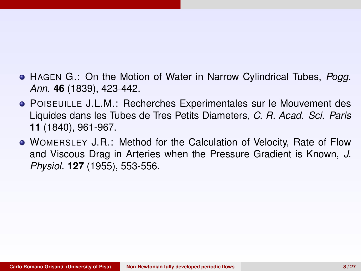- HAGEN G.: On the Motion of Water in Narrow Cylindrical Tubes, *Pogg. Ann.* **46** (1839), 423-442.
- POISEUILLE J.L.M.: Recherches Experimentales sur le Mouvement des Liquides dans les Tubes de Tres Petits Diameters, *C. R. Acad. Sci. Paris* **11** (1840), 961-967.
- WOMERSLEY J.R.: Method for the Calculation of Velocity, Rate of Flow and Viscous Drag in Arteries when the Pressure Gradient is Known, *J. Physiol.* **127** (1955), 553-556.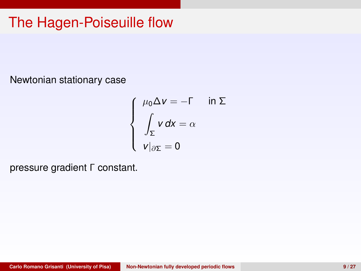## The Hagen-Poiseuille flow

Newtonian stationary case

$$
\begin{cases}\n\mu_0 \Delta v = -\Gamma & \text{in } \Sigma \\
\int_{\Sigma} v \, dx = \alpha \\
v|_{\partial \Sigma} = 0\n\end{cases}
$$

pressure gradient Γ constant.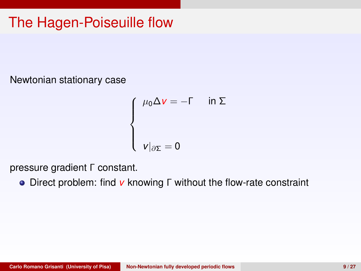# The Hagen-Poiseuille flow

Newtonian stationary case

$$
\begin{cases}\n\mu_0 \Delta v = -\Gamma & \text{in } \Sigma \\
\nu|_{\partial \Sigma} = 0\n\end{cases}
$$

pressure gradient Γ constant.

Direct problem: find *v* knowing Γ without the flow-rate constraint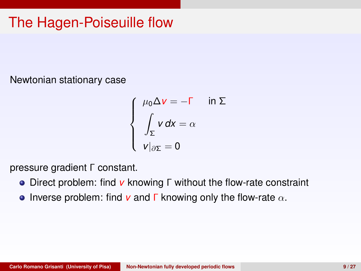# The Hagen-Poiseuille flow

Newtonian stationary case

$$
\begin{cases}\n\mu_0 \Delta v = -\Gamma & \text{in } \Sigma \\
\int_{\Sigma} v \, dx = \alpha \\
v|_{\partial \Sigma} = 0\n\end{cases}
$$

pressure gradient Γ constant.

- Direct problem: find *v* knowing Γ without the flow-rate constraint
- **•** Inverse problem: find  $\bf{v}$  and  $\bf{\Gamma}$  knowing only the flow-rate  $\alpha$ .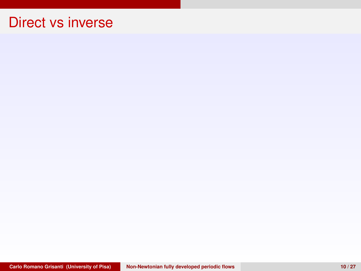#### Direct vs inverse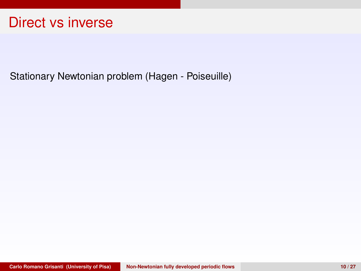#### Direct vs inverse

Stationary Newtonian problem (Hagen - Poiseuille)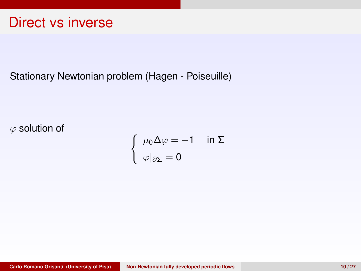#### Direct vs inverse

Stationary Newtonian problem (Hagen - Poiseuille)

 $\varphi$  solution of

$$
\begin{cases}\n\mu_0 \Delta \varphi = -1 & \text{in } \Sigma \\
\varphi|_{\partial \Sigma} = 0\n\end{cases}
$$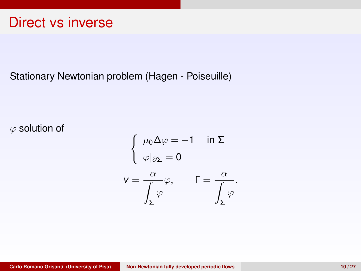#### Stationary Newtonian problem (Hagen - Poiseuille)

 $\varphi$  solution of

$$
\begin{cases}\n\mu_0 \Delta \varphi = -1 & \text{in } \Sigma \\
\varphi|_{\partial \Sigma} = 0\n\end{cases}
$$
\n
$$
\mathbf{v} = \frac{\alpha}{\int_{\Sigma} \varphi} \varphi, \qquad \Gamma = \frac{\alpha}{\int_{\Sigma} \varphi}
$$

.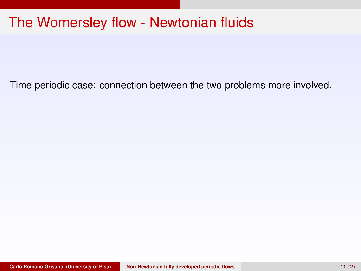### The Womersley flow - Newtonian fluids

Time periodic case: connection between the two problems more involved.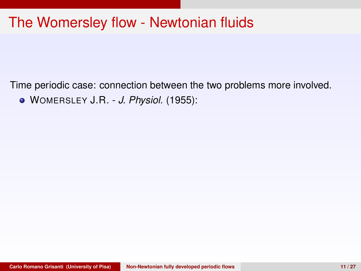Time periodic case: connection between the two problems more involved. WOMERSLEY J.R. - *J. Physiol.* (1955):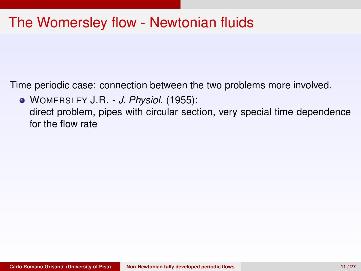Time periodic case: connection between the two problems more involved.

WOMERSLEY J.R. - *J. Physiol.* (1955): direct problem, pipes with circular section, very special time dependence for the flow rate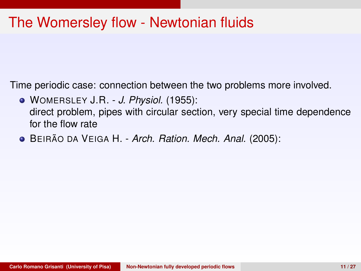- WOMERSLEY J.R. *J. Physiol.* (1955): direct problem, pipes with circular section, very special time dependence for the flow rate
- **·** BEIRÃO DA VEIGA H. *Arch. Ration. Mech. Anal.* (2005):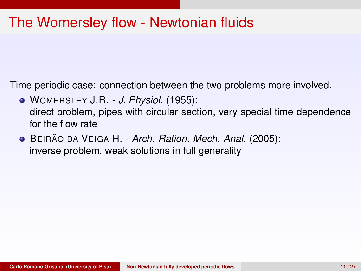- WOMERSLEY J.R. *J. Physiol.* (1955): direct problem, pipes with circular section, very special time dependence for the flow rate
- **·** BEIRÃO DA VEIGA H. *Arch. Ration. Mech. Anal.* (2005): inverse problem, weak solutions in full generality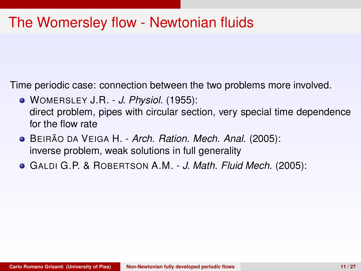- WOMERSLEY J.R. *J. Physiol.* (1955): direct problem, pipes with circular section, very special time dependence for the flow rate
- **·** BEIRÃO DA VEIGA H. *Arch. Ration. Mech. Anal.* (2005): inverse problem, weak solutions in full generality
- GALDI G.P. & ROBERTSON A.M. *J. Math. Fluid Mech.* (2005):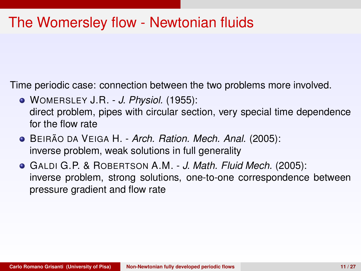- WOMERSLEY J.R. *J. Physiol.* (1955): direct problem, pipes with circular section, very special time dependence for the flow rate
- **·** BEIRÃO DA VEIGA H. *Arch. Ration. Mech. Anal.* (2005): inverse problem, weak solutions in full generality
- GALDI G.P. & ROBERTSON A.M. *J. Math. Fluid Mech.* (2005): inverse problem, strong solutions, one-to-one correspondence between pressure gradient and flow rate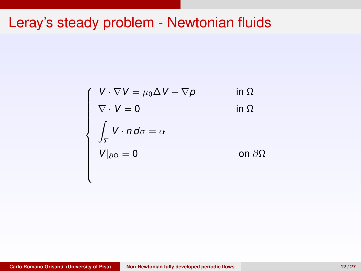# Leray's steady problem - Newtonian fluids

$$
\begin{cases}\nV \cdot \nabla V = \mu_0 \Delta V - \nabla p & \text{in } \Omega \\
\nabla \cdot V = 0 & \text{in } \Omega \\
\int_{\Sigma} V \cdot n \, d\sigma = \alpha \\
V|_{\partial \Omega} = 0 & \text{on } \partial \Omega\n\end{cases}
$$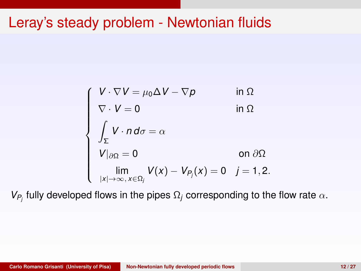# Leray's steady problem - Newtonian fluids

$$
\begin{cases}\nV \cdot \nabla V = \mu_0 \Delta V - \nabla p & \text{in } \Omega \\
\nabla \cdot V = 0 & \text{in } \Omega \\
\int_{\Sigma} V \cdot n \, d\sigma = \alpha & \\
V|_{\partial \Omega} = 0 & \text{on } \partial \Omega \\
\lim_{|x| \to \infty, x \in \Omega_j} V(x) - V_{P_j}(x) = 0 & j = 1, 2.\n\end{cases}
$$

*V*<sub>*P<sub>j</sub>*</sub> fully developed flows in the pipes  $Ω<sub>j</sub>$  corresponding to the flow rate  $α$ .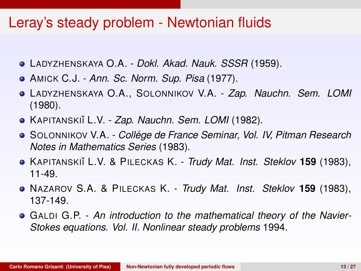### Leray's steady problem - Newtonian fluids

- LADYZHENSKAYA O.A. *Dokl. Akad. Nauk. SSSR* (1959).
- AMICK C.J. *Ann. Sc. Norm. Sup. Pisa* (1977).
- LADYZHENSKAYA O.A., SOLONNIKOV V.A. *Zap. Nauchn. Sem. LOMI* (1980).
- KAPITANSKI˘I L.V. *Zap. Nauchn. Sem. LOMI* (1982).
- SOLONNIKOV V.A. *College de France Seminar, Vol. IV, Pitman Research ´ Notes in Mathematics Series* (1983).
- KAPITANSKI˘I L.V. & PILECKAS K. *Trudy Mat. Inst. Steklov* **159** (1983), 11-49.
- NAZAROV S.A. & PILECKAS K. *Trudy Mat. Inst. Steklov* **159** (1983), 137-149.
- GALDI G.P. *An introduction to the mathematical theory of the Navier-Stokes equations. Vol. II. Nonlinear steady problems* 1994.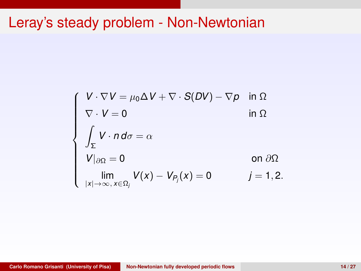# Leray's steady problem - Non-Newtonian

$$
\begin{cases}\nV \cdot \nabla V = \mu_0 \Delta V + \nabla \cdot S(DV) - \nabla p & \text{in } \Omega \\
\nabla \cdot V = 0 & \text{in } \Omega \\
\int_{\Sigma} V \cdot n d\sigma = \alpha & \text{on } \partial \Omega \\
V|_{\partial \Omega} = 0 & \text{on } \partial \Omega \\
\lim_{|x| \to \infty, x \in \Omega_j} V(x) - V_{P_j}(x) = 0 & j = 1, 2.\n\end{cases}
$$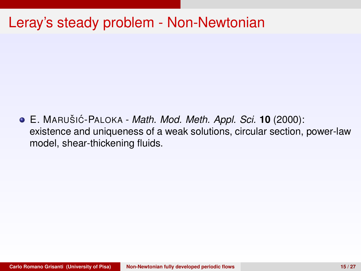## Leray's steady problem - Non-Newtonian

**• E. MARUŠIĆ-PALOKA -** *Math. Mod. Meth. Appl. Sci.* **<b>10** (2000): existence and uniqueness of a weak solutions, circular section, power-law model, shear-thickening fluids.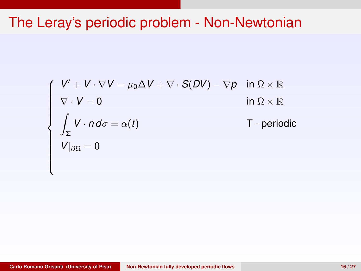## The Leray's periodic problem - Non-Newtonian

$$
\begin{cases}\nV' + V \cdot \nabla V = \mu_0 \Delta V + \nabla \cdot S(DV) - \nabla p & \text{in } \Omega \times \mathbb{R} \\
\nabla \cdot V = 0 & \text{in } \Omega \times \mathbb{R} \\
\int_{\Sigma} V \cdot n \, d\sigma = \alpha(t) & \text{T - periodic} \\
V|_{\partial \Omega} = 0\n\end{cases}
$$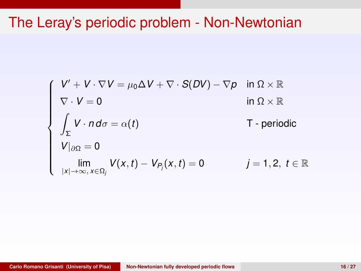## The Leray's periodic problem - Non-Newtonian

$$
\begin{cases}\nV' + V \cdot \nabla V = \mu_0 \Delta V + \nabla \cdot S(DV) - \nabla p & \text{in } \Omega \times \mathbb{R} \\
\nabla \cdot V = 0 & \text{in } \Omega \times \mathbb{R} \\
\int_{\Sigma} V \cdot n \, d\sigma = \alpha(t) & \text{T - periodic} \\
V|_{\partial\Omega} = 0 & \text{lim} \\
\lim_{|x| \to \infty, x \in \Omega_j} V(x, t) - V_{P_j}(x, t) = 0 & j = 1, 2, t \in \mathbb{R}\n\end{cases}
$$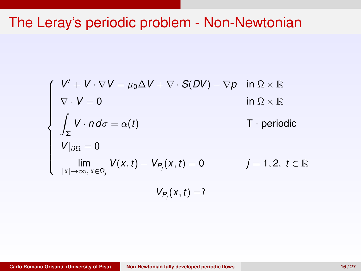## The Leray's periodic problem - Non-Newtonian

$$
\begin{cases}\nV' + V \cdot \nabla V = \mu_0 \Delta V + \nabla \cdot S(DV) - \nabla p & \text{in } \Omega \times \mathbb{R} \\
\nabla \cdot V = 0 & \text{in } \Omega \times \mathbb{R} \\
\int_{\Sigma} V \cdot n \, d\sigma = \alpha(t) & \text{T - periodic} \\
V|_{\partial \Omega} = 0 & \text{lim} \\
\lim_{|x| \to \infty, x \in \Omega_i} V(x, t) - V_{P_i}(x, t) = 0 & j = 1, 2, t \in \mathbb{R} \\
V_{P_i}(x, t) = ?\n\end{cases}
$$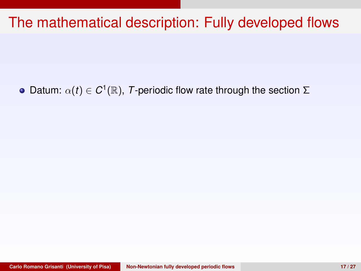Datum:  $\alpha(t) \in C^1(\mathbb{R})$ , *T*-periodic flow rate through the section  $\Sigma$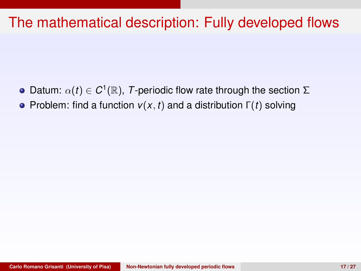- Datum:  $\alpha(t) \in C^1(\mathbb{R})$ , *T*-periodic flow rate through the section  $\Sigma$
- **•** Problem: find a function  *and a distribution*  $Γ(t)$  *solving*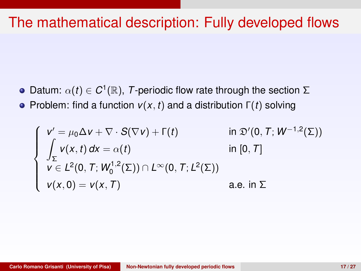Datum:  $\alpha(t) \in C^1(\mathbb{R})$ , *T*-periodic flow rate through the section  $\Sigma$ **•** Problem: find a function  *and a distribution*  $Γ(t)$  *solving* 

$$
\begin{cases}\n v' = \mu_0 \Delta v + \nabla \cdot S(\nabla v) + \Gamma(t) & \text{in } \mathfrak{D}'(0, T; W^{-1,2}(\Sigma)) \\
 \int_{\Sigma} v(x, t) dx = \alpha(t) & \text{in } [0, T] \\
 v \in L^2(0, T; W_0^{1,2}(\Sigma)) \cap L^{\infty}(0, T; L^2(\Sigma)) \\
 v(x, 0) = v(x, T) & \text{a.e. in } \Sigma\n\end{cases}
$$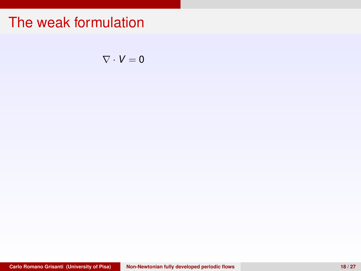$\nabla \cdot V = 0$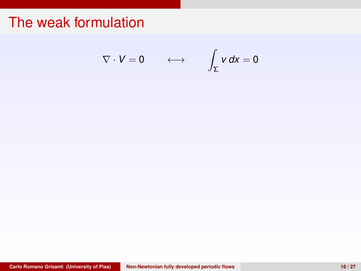$$
\nabla \cdot V = 0 \qquad \longleftrightarrow \qquad \int_{\Sigma} v \, dx = 0
$$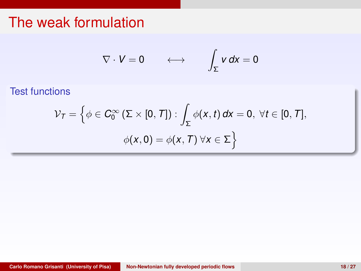$$
\nabla \cdot V = 0 \qquad \longleftrightarrow \qquad \int_{\Sigma} v \, dx = 0
$$

Test functions

$$
\mathcal{V}_T = \left\{ \phi \in C_0^{\infty} \left( \Sigma \times [0, T] \right) : \int_{\Sigma} \phi(x, t) \, dx = 0, \ \forall t \in [0, T], \right. \\ \phi(x, 0) = \phi(x, T) \ \forall x \in \Sigma \right\}
$$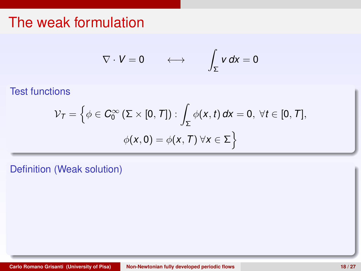$$
\nabla \cdot V = 0 \qquad \longleftrightarrow \qquad \int_{\Sigma} v \, dx = 0
$$

Test functions

$$
\mathcal{V}_T = \left\{ \phi \in C_0^{\infty} \left( \Sigma \times [0, T] \right) : \int_{\Sigma} \phi(x, t) \, dx = 0, \ \forall t \in [0, T], \right.
$$

$$
\phi(x, 0) = \phi(x, T) \ \forall x \in \Sigma \right\}
$$

Definition (Weak solution)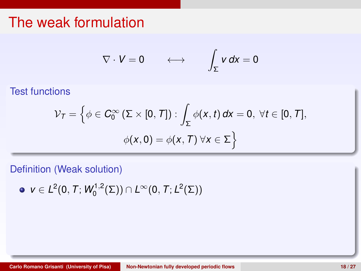$$
\nabla \cdot V = 0 \qquad \longleftrightarrow \qquad \int_{\Sigma} v \, dx = 0
$$

Test functions

$$
\mathcal{V}_{\mathcal{T}} = \left\{ \phi \in C_0^{\infty} \left( \Sigma \times [0, T] \right) : \int_{\Sigma} \phi(x, t) \, dx = 0, \ \forall t \in [0, T], \right.
$$

$$
\phi(x, 0) = \phi(x, T) \ \forall x \in \Sigma \right\}
$$

Definition (Weak solution)

 $v \in L^2(0, T; W_0^{1,2}(\Sigma)) \cap L^{\infty}(0, T; L^2(\Sigma))$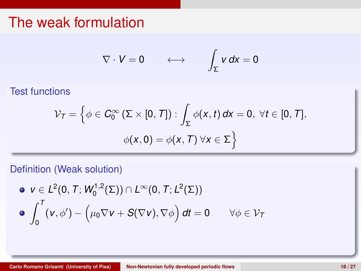$$
\nabla \cdot V = 0 \qquad \longleftrightarrow \qquad \int_{\Sigma} v \, dx = 0
$$

Test functions

$$
\mathcal{V}_{\mathcal{T}} = \left\{ \phi \in C_0^{\infty} \left( \Sigma \times [0, T] \right) : \int_{\Sigma} \phi(x, t) \, dx = 0, \ \forall t \in [0, T], \right.
$$

$$
\phi(x, 0) = \phi(x, T) \ \forall x \in \Sigma \right\}
$$

#### Definition (Weak solution)

\n- $$
\mathbf{v} \in L^2(0, T; W_0^{1,2}(\Sigma)) \cap L^\infty(0, T; L^2(\Sigma))
$$
\n- $\int_0^T (\mathbf{v}, \phi') - \left( \mu_0 \nabla \mathbf{v} + S(\nabla \mathbf{v}), \nabla \phi \right) dt = 0 \quad \forall \phi \in \mathcal{V}_T$
\n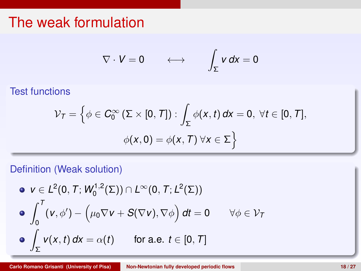$$
\nabla \cdot V = 0 \qquad \longleftrightarrow \qquad \int_{\Sigma} v \, dx = 0
$$

Test functions

$$
\mathcal{V}_{\mathcal{T}} = \left\{ \phi \in C_0^{\infty} \left( \Sigma \times [0, T] \right) : \int_{\Sigma} \phi(x, t) \, dx = 0, \ \forall t \in [0, T], \right.
$$

$$
\phi(x, 0) = \phi(x, T) \ \forall x \in \Sigma \right\}
$$

#### Definition (Weak solution)

\n- \n
$$
\mathbf{v} \in L^2(0, T; W_0^{1,2}(\Sigma)) \cap L^\infty(0, T; L^2(\Sigma))
$$
\n
\n- \n
$$
\int_0^T (v, \phi') - \left(\mu_0 \nabla v + S(\nabla v), \nabla \phi\right) dt = 0 \quad \forall \phi \in \mathcal{V}_T
$$
\n
\n- \n
$$
\int_{\Sigma} v(x, t) dx = \alpha(t) \quad \text{for a.e. } t \in [0, T]
$$
\n
\n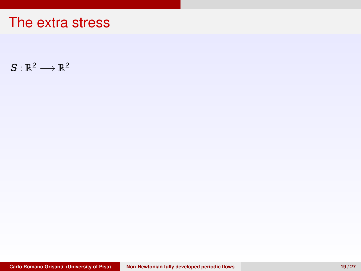$S: \mathbb{R}^2 \longrightarrow \mathbb{R}^2$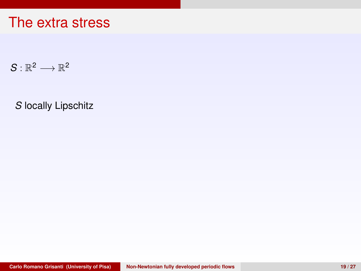$S: \mathbb{R}^2 \longrightarrow \mathbb{R}^2$ 

*S* locally Lipschitz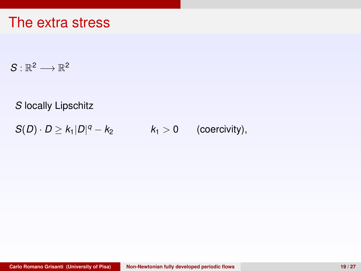$S: \mathbb{R}^2 \longrightarrow \mathbb{R}^2$ 

*S* locally Lipschitz

 $S(D) \cdot D \ge k_1 |D|^q - k_2$  $k_1 > 0$  (coercivity),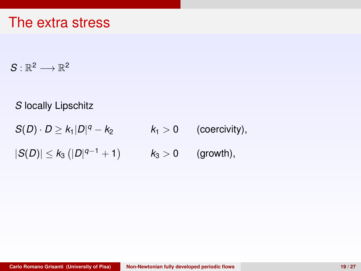$S: \mathbb{R}^2 \longrightarrow \mathbb{R}^2$ 

*S* locally Lipschitz

 $S(D) \cdot D \ge k_1 |D|^q - k_2$  $k_1 > 0$  (coercivity),

 $|S(D)|$  ≤  $k_3$  ( $|D|^{q-1}$  + 1)  $k_3 > 0$  (growth),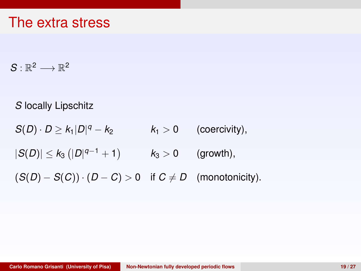$S: \mathbb{R}^2 \longrightarrow \mathbb{R}^2$ 

*S* locally Lipschitz

 $S(D) \cdot D \geq k_1 |D|^q - k_2$  $k_1 > 0$  (coercivity),

 $|S(D)|$  ≤  $k_3$  ( $|D|^{q-1}$  + 1)  $k_3 > 0$  (growth),

 $(S(D) - S(C)) \cdot (D - C) > 0$  if  $C \neq D$  (monotonicity).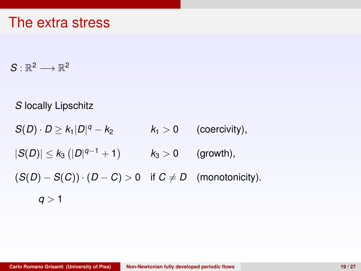$S: \mathbb{R}^2 \longrightarrow \mathbb{R}^2$ 

*S* locally Lipschitz

 $S(D) \cdot D \geq k_1 |D|^q - k_2$  $k_1 > 0$  (coercivity),

 $|S(D)|$  ≤  $k_3$  ( $|D|^{q-1}$  + 1)  $k_3 > 0$  (growth),

 $(S(D) - S(C)) \cdot (D - C) > 0$  if  $C \neq D$  (monotonicity).

 $q > 1$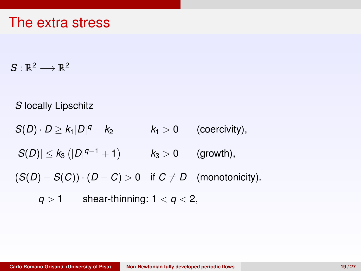$S: \mathbb{R}^2 \longrightarrow \mathbb{R}^2$ 

*S* locally Lipschitz

 $S(D) \cdot D \geq k_1 |D|^q - k_2$  $k_1 > 0$  (coercivity),

 $|S(D)|$  ≤  $k_3$  ( $|D|^{q-1}$  + 1)  $k_3 > 0$  (growth),

 $(S(D) - S(C)) \cdot (D - C) > 0$  if  $C \neq D$  (monotonicity).

 $q > 1$  shear-thinning:  $1 < q < 2$ ,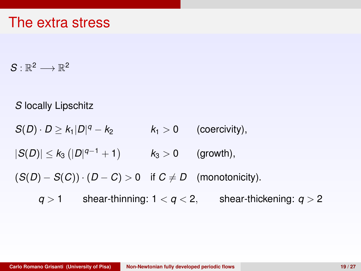$S: \mathbb{R}^2 \longrightarrow \mathbb{R}^2$ 

*S* locally Lipschitz

 $S(D) \cdot D \geq k_1 |D|^q - k_2$  $k_1 > 0$  (coercivity),

 $|S(D)|$  ≤  $k_3$  ( $|D|^{q-1}$  + 1)  $k_3 > 0$  (growth),

 $(S(D) - S(C)) \cdot (D - C) > 0$  if  $C \neq D$  (monotonicity).

 $q > 1$  shear-thinning:  $1 < q < 2$ , shear-thickening:  $q > 2$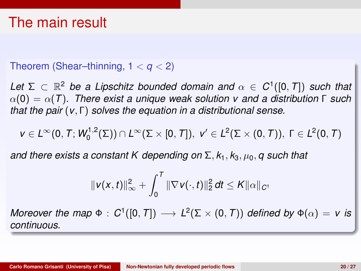#### Theorem (Shear–thinning, 1 < *q* < 2)

Let  $\Sigma \subset \mathbb{R}^2$  be a Lipschitz bounded domain and  $\alpha \in C^1([0,T])$  such that α(0) = α(*T*)*. There exist a unique weak solution v and a distribution* Γ *such that the pair* (*v*, Γ) *solves the equation in a distributional sense.*

$$
v\in L^\infty(0,\,T;\,W^{1,2}_0(\Sigma))\cap L^\infty(\Sigma\times[0,\,T]),\,\,v'\in L^2(\Sigma\times(0,\,T)),\,\,\Gamma\in L^2(0,\,T)
$$

*and there exists a constant K depending on*  $\Sigma$ ,  $k_1$ ,  $k_3$ ,  $\mu_0$ , *q such that* 

$$
\|v(x,t)\|_{\infty}^2 + \int_0^T \|\nabla v(\cdot,t)\|_2^2 dt \leq K \|\alpha\|_{C^1}
$$

*Moreover the map*  $\Phi$  :  $C^1([0,T]) \longrightarrow L^2(\Sigma \times (0,T))$  *defined by*  $\Phi(\alpha) = v$  *is continuous.*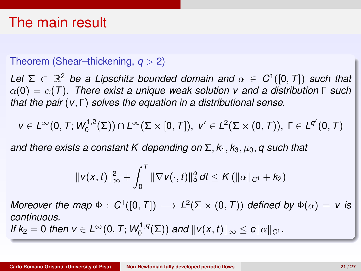## The main result

#### Theorem (Shear–thickening, *q* > 2)

Let  $\Sigma \subset \mathbb{R}^2$  be a Lipschitz bounded domain and  $\alpha \in C^1([0,T])$  such that α(0) = α(*T*)*. There exist a unique weak solution v and a distribution* Γ *such that the pair* (*v*, Γ) *solves the equation in a distributional sense.*

$$
v\in L^\infty(0,\,T;\,W^{1,2}_0(\Sigma))\cap L^\infty(\Sigma\times[0,\,T]),\,\,v'\in L^2(\Sigma\times(0,\,T)),\,\,\Gamma\in L^{q'}(0,\,T)
$$

*and there exists a constant K depending on* Σ, *k*1, *k*3, µ0, *q such that*

$$
\|v(x,t)\|_{\infty}^2 + \int_0^T \|\nabla v(\cdot,t)\|_{q}^q dt \leq K (\|\alpha\|_{C^1} + k_2)
$$

*Moreover the map*  $\Phi$  :  $C^1([0,T]) \longrightarrow L^2(\Sigma \times (0,T))$  *defined by*  $\Phi(\alpha) = v$  *is continuous. If k*<sub>2</sub> = 0 *then*  $v \in L^{\infty}(0, T; W_0^{1,q}(\Sigma))$  *and*  $||v(x, t)||_{\infty} \le c||\alpha||_{C^1}$ .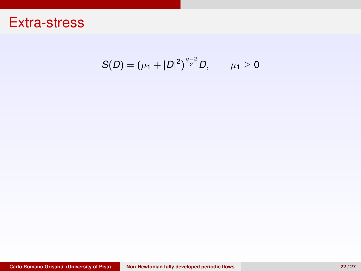$$
S(D)=(\mu_1+|D|^2)^{\frac{q-2}{2}}D, \qquad \mu_1\geq 0
$$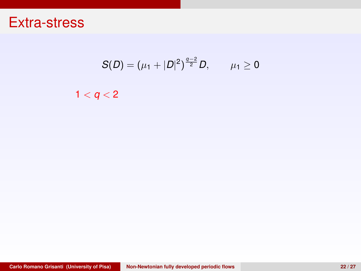$$
S(D)=(\mu_1+|D|^2)^{\frac{q-2}{2}}D, \qquad \mu_1\geq 0
$$

 $1 < q < 2$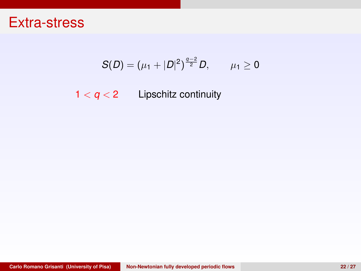$$
S(D)=(\mu_1+|D|^2)^{\frac{q-2}{2}}D, \qquad \mu_1\geq 0
$$

 $1 < q < 2$  Lipschitz continuity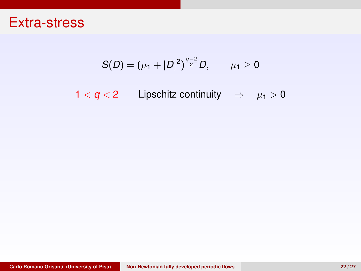$$
S(D)=(\mu_1+|D|^2)^{\frac{q-2}{2}}D, \qquad \mu_1\geq 0
$$

1 <  $q$  < 2 Lipschitz continuity  $\Rightarrow \mu_1 > 0$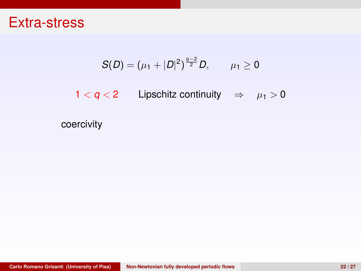$$
S(D)=(\mu_1+|D|^2)^{\frac{q-2}{2}}D, \qquad \mu_1\geq 0
$$

1 <  $q$  < 2 Lipschitz continuity  $\Rightarrow \mu_1 > 0$ 

coercivity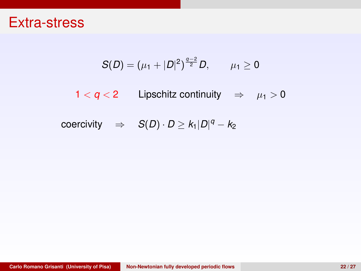$$
S(D)=(\mu_1+|D|^2)^{\frac{q-2}{2}}D, \qquad \mu_1\geq 0
$$

 $1 < q < 2$  Lipschitz continuity  $\Rightarrow \mu_1 > 0$ 

 $\mathsf{coercivity} \quad \Rightarrow \quad \mathcal{S}(D) \cdot D \geq k_1 |D|^q - k_2$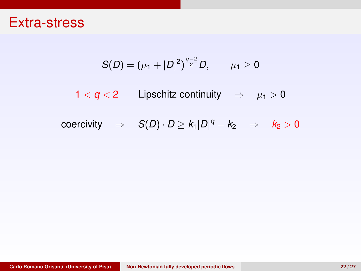$$
S(D)=(\mu_1+|D|^2)^{\frac{q-2}{2}}D, \qquad \mu_1\geq 0
$$

1 <  $q$  < 2 Lipschitz continuity  $\Rightarrow \mu_1 > 0$ 

coercivity 
$$
\Rightarrow
$$
  $S(D) \cdot D \ge k_1 |D|^q - k_2 \Rightarrow k_2 > 0$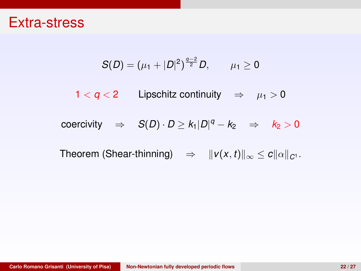$$
S(D)=(\mu_1+|D|^2)^{\frac{q-2}{2}}D, \qquad \mu_1\geq 0
$$

1 <  $q$  < 2 Lipschitz continuity  $\Rightarrow \mu_1 > 0$ 

 $\mathsf{coercivity} \quad \Rightarrow \quad \mathsf{S}(D) \cdot D \geq k_1 |D|^q - k_2 \quad \Rightarrow \quad k_2 > 0$ 

Theorem (Shear-thinning)  $\Rightarrow$   $||v(x, t)||_{\infty} \le c||\alpha||_{C^1}$ .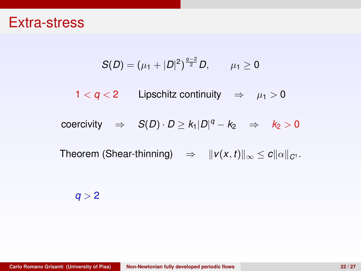$$
S(D)=(\mu_1+|D|^2)^{\frac{q-2}{2}}D, \qquad \mu_1\geq 0
$$

1 <  $q$  < 2 Lipschitz continuity  $\Rightarrow \mu_1 > 0$ 

 $\mathsf{coercivity} \quad \Rightarrow \quad \mathsf{S}(D) \cdot D \geq k_1 |D|^q - k_2 \quad \Rightarrow \quad k_2 > 0$ 

Theorem (Shear-thinning)  $\Rightarrow$   $||v(x, t)||_{\infty} \le c||\alpha||_{C^1}$ .

 $q > 2$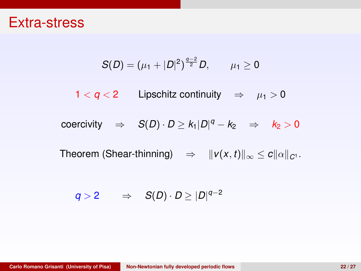$$
S(D)=(\mu_1+|D|^2)^{\frac{q-2}{2}}D, \qquad \mu_1\geq 0
$$

 $1 < q < 2$  Lipschitz continuity  $\Rightarrow \mu_1 > 0$ 

coercivity 
$$
\Rightarrow
$$
  $S(D) \cdot D \ge k_1 |D|^q - k_2 \Rightarrow k_2 > 0$ 

Theorem (Shear-thinning)  $\Rightarrow$   $||v(x, t)||_{\infty} \le c||\alpha||_{C^1}$ .

$$
q>2\qquad\Rightarrow\quad S(D)\cdot D\geq |D|^{q-2}
$$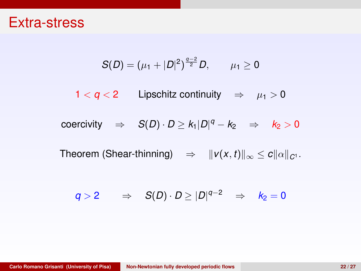$$
S(D)=(\mu_1+|D|^2)^{\frac{q-2}{2}}D, \qquad \mu_1\geq 0
$$

 $1 < q < 2$  Lipschitz continuity  $\Rightarrow \mu_1 > 0$ 

coercivity 
$$
\Rightarrow
$$
  $S(D) \cdot D \ge k_1 |D|^q - k_2 \Rightarrow k_2 > 0$ 

Theorem (Shear-thinning)  $\Rightarrow$   $||v(x, t)||_{\infty} \le c||\alpha||_{C^1}$ .

$$
q>2\qquad\Rightarrow\quad S(D)\cdot D\geq |D|^{q-2}\quad\Rightarrow\quad k_2=0
$$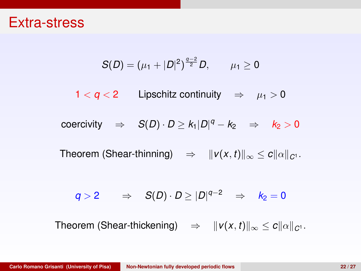$$
S(D)=(\mu_1+|D|^2)^{\frac{q-2}{2}}D, \qquad \mu_1\geq 0
$$

1 <  $q$  < 2 Lipschitz continuity  $\Rightarrow$   $\mu_1 > 0$ 

coercivity 
$$
\Rightarrow
$$
  $S(D) \cdot D \ge k_1 |D|^q - k_2 \Rightarrow k_2 > 0$ 

Theorem (Shear-thinning)  $\Rightarrow$   $||v(x, t)||_{\infty} \le c||\alpha||_{C^1}$ .

$$
q>2\qquad\Rightarrow\quad S(D)\cdot D\geq |D|^{q-2}\quad\Rightarrow\quad k_2=0
$$

Theorem (Shear-thickening)  $\Rightarrow$   $||v(x, t)||_{\infty} \le c||\alpha||_{C^1}$ .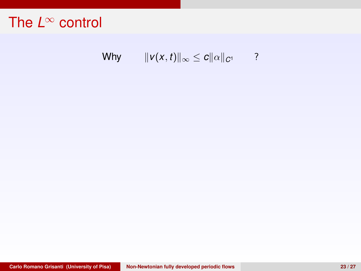Why  $||v(x, t)||_{\infty} \le c||\alpha||_{C^{1}}$  ?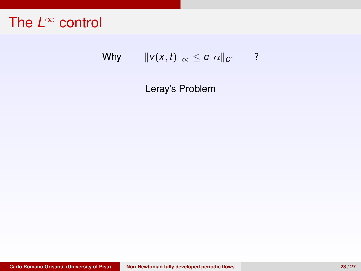## Why  $||v(x, t)||_{\infty} \le c||\alpha||_{C^{1}}$  ?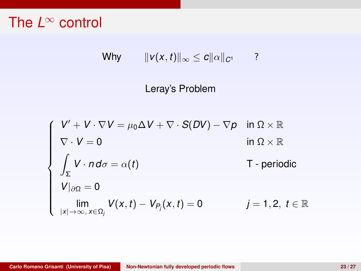$$
\mathsf{Why} \qquad \|\mathsf{v}(x,t)\|_\infty \leq c \|\alpha\|_{\mathsf{C}^1} \qquad ?
$$

$$
\begin{cases}\nV' + V \cdot \nabla V = \mu_0 \Delta V + \nabla \cdot S(DV) - \nabla p & \text{in } \Omega \times \mathbb{R} \\
\nabla \cdot V = 0 & \text{in } \Omega \times \mathbb{R} \\
\int_{\Sigma} V \cdot n \, d\sigma = \alpha(t) & \text{T - periodic} \\
V|_{\partial \Omega} = 0 & \text{lim} \\
\lim_{|x| \to \infty, x \in \Omega_j} V(x, t) - V_{P_j}(x, t) = 0 & j = 1, 2, t \in \mathbb{R}\n\end{cases}
$$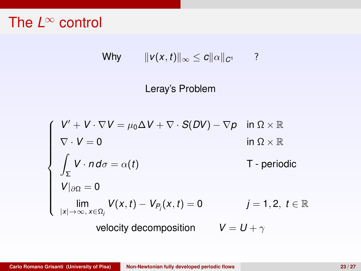$$
\mathsf{Why} \qquad \|\mathsf{v}(x,t)\|_\infty \leq c \|\alpha\|_{C^1} \qquad ?
$$

$$
\begin{cases}\nV' + V \cdot \nabla V = \mu_0 \Delta V + \nabla \cdot S(DV) - \nabla p & \text{in } \Omega \times \mathbb{R} \\
\nabla \cdot V = 0 & \text{in } \Omega \times \mathbb{R} \\
\int_{\Sigma} V \cdot n \, d\sigma = \alpha(t) & \text{T - periodic} \\
V|_{\partial \Omega} = 0 & \text{lim} \\
\lim_{|x| \to \infty, x \in \Omega_j} V(x, t) - V_{P_j}(x, t) = 0 & j = 1, 2, t \in \mathbb{R} \\
\text{velocity decomposition} & V = U + \gamma\n\end{cases}
$$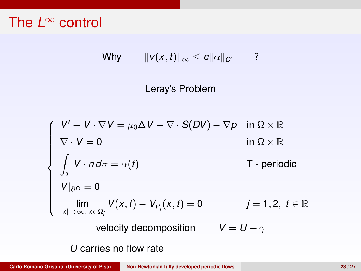$$
\mathsf{Why} \qquad \|\mathsf{v}(x,t)\|_\infty \leq c \|\alpha\|_{C^1} \qquad ?
$$

$$
\begin{cases}\nV' + V \cdot \nabla V = \mu_0 \Delta V + \nabla \cdot S(DV) - \nabla p & \text{in } \Omega \times \mathbb{R} \\
\nabla \cdot V = 0 & \text{in } \Omega \times \mathbb{R} \\
\int_{\Sigma} V \cdot n \, d\sigma = \alpha(t) & \text{T - periodic} \\
V|_{\partial \Omega} = 0 & \text{lim} \\
\lim_{|x| \to \infty, x \in \Omega_i} V(x, t) - V_{P_i}(x, t) = 0 & j = 1, 2, t \in \mathbb{R} \\
\text{velocity decomposition} & V = U + \gamma \\
U \text{ carries no flow rate}\n\end{cases}
$$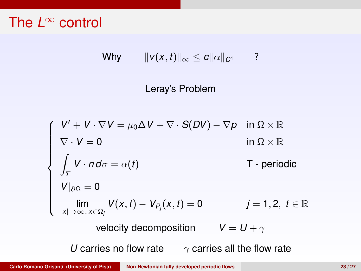$$
\mathsf{Why} \qquad \|\mathsf{v}(x,t)\|_\infty \leq c \|\alpha\|_{C^1} \qquad ?
$$

$$
\begin{cases}\nV' + V \cdot \nabla V = \mu_0 \Delta V + \nabla \cdot S(DV) - \nabla p & \text{in } \Omega \times \mathbb{R} \\
\nabla \cdot V = 0 & \text{in } \Omega \times \mathbb{R} \\
\int_{\Sigma} V \cdot n \, d\sigma = \alpha(t) & \text{T - periodic} \\
V|_{\partial \Omega} = 0 & \text{lim} \\
\lim_{|x| \to \infty, x \in \Omega_j} V(x, t) - V_{P_j}(x, t) = 0 & j = 1, 2, t \in \mathbb{R} \\
\text{velocity decomposition} & V = U + \gamma \\
U \text{ carries no flow rate} & \gamma \text{ carries all the flow rate}\n\end{cases}
$$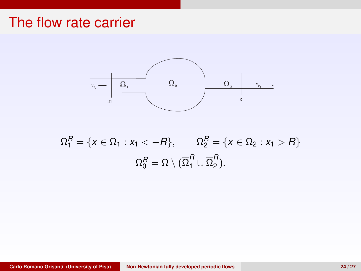

$$
\Omega_1^R = \{x \in \Omega_1 : x_1 < -R\}, \qquad \Omega_2^R = \{x \in \Omega_2 : x_1 > R\}
$$
\n
$$
\Omega_0^R = \Omega \setminus (\overline{\Omega}_1^R \cup \overline{\Omega}_2^R).
$$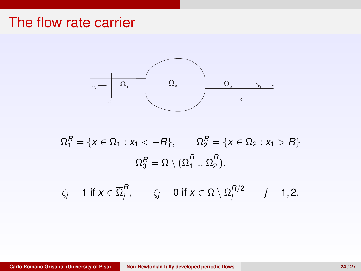

$$
\Omega_1^R = \{x \in \Omega_1 : x_1 < -R\}, \qquad \Omega_2^R = \{x \in \Omega_2 : x_1 > R\}
$$
\n
$$
\Omega_0^R = \Omega \setminus (\overline{\Omega}_1^R \cup \overline{\Omega}_2^R).
$$

$$
\zeta_j = 1 \text{ if } x \in \overline{\Omega}_j^R, \qquad \zeta_j = 0 \text{ if } x \in \Omega \setminus \Omega_j^{R/2} \qquad j = 1, 2.
$$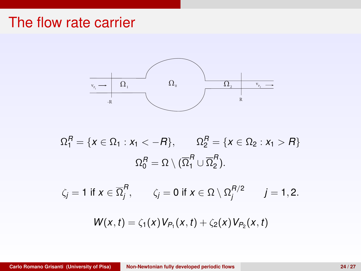

$$
\Omega_1^R = \{x \in \Omega_1 : x_1 < -R\}, \qquad \Omega_2^R = \{x \in \Omega_2 : x_1 > R\}
$$
\n
$$
\Omega_0^R = \Omega \setminus (\overline{\Omega}_1^R \cup \overline{\Omega}_2^R).
$$
\n
$$
\zeta_j = 1 \text{ if } x \in \overline{\Omega}_j^R, \qquad \zeta_j = 0 \text{ if } x \in \Omega \setminus \Omega_j^{R/2} \qquad j = 1, 2.
$$

$$
W(x, t) = \zeta_1(x) V_{P_1}(x, t) + \zeta_2(x) V_{P_2}(x, t)
$$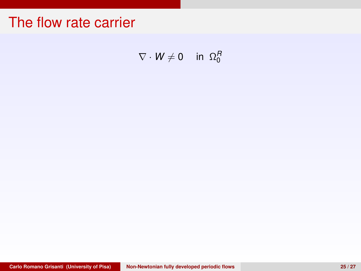$\nabla \cdot \mathbf{W} \neq \mathbf{0}$  in  $\Omega_0^H$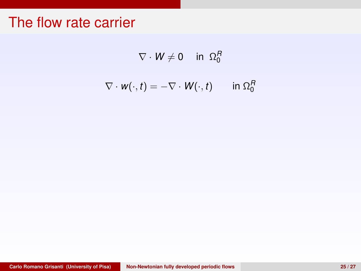$$
\nabla \cdot \mathsf{W} \neq 0 \quad \text{in } \Omega_0^H
$$

$$
\nabla \cdot \mathbf{w}(\cdot, t) = -\nabla \cdot \mathbf{W}(\cdot, t) \qquad \text{in } \Omega_0^R
$$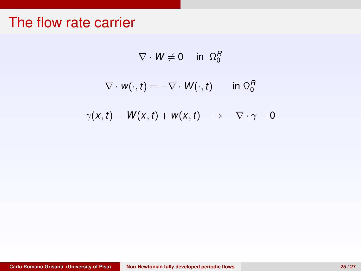$$
\nabla \cdot \mathsf{W} \neq 0 \quad \text{in } \Omega_0^H
$$

$$
\nabla \cdot \mathbf{w}(\cdot, t) = -\nabla \cdot \mathbf{W}(\cdot, t) \quad \text{in } \Omega_0^R
$$

$$
\gamma(x,t) = W(x,t) + w(x,t) \quad \Rightarrow \quad \nabla \cdot \gamma = 0
$$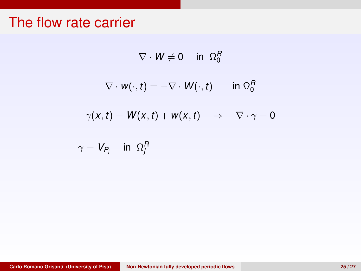$$
\nabla \cdot \mathbf{W} \neq 0 \quad \text{in } \Omega_0^H
$$

$$
\nabla \cdot \mathbf{w}(\cdot, t) = -\nabla \cdot \mathbf{W}(\cdot, t) \quad \text{in } \Omega_0^R
$$

$$
\gamma(x,t) = W(x,t) + w(x,t) \quad \Rightarrow \quad \nabla \cdot \gamma = 0
$$

$$
\gamma = V_{P_j} \quad \text{ in } \ \Omega_j^R
$$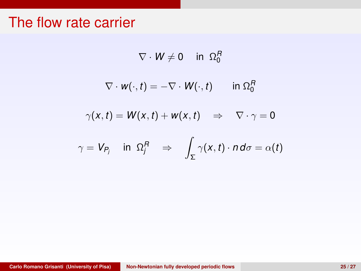$$
\nabla \cdot \mathbf{W} \neq 0 \quad \text{in } \Omega_0^H
$$

$$
\nabla \cdot \mathbf{w}(\cdot, t) = -\nabla \cdot \mathbf{W}(\cdot, t) \quad \text{in } \Omega_0^R
$$

$$
\gamma(x,t) = W(x,t) + w(x,t) \quad \Rightarrow \quad \nabla \cdot \gamma = 0
$$

$$
\gamma = V_{P_j} \quad \text{in } \Omega_j^R \quad \Rightarrow \quad \int_{\Sigma} \gamma(x, t) \cdot n \, d\sigma = \alpha(t)
$$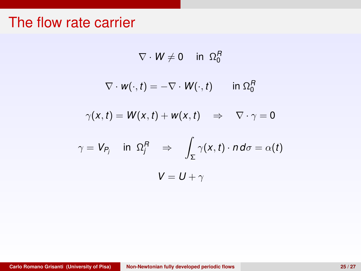$$
\nabla \cdot \mathbf{W} \neq 0 \quad \text{in } \Omega_0^H
$$

$$
\nabla \cdot \mathbf{w}(\cdot, t) = -\nabla \cdot \mathbf{W}(\cdot, t) \quad \text{in } \Omega_0^R
$$

$$
\gamma(x,t) = W(x,t) + w(x,t) \quad \Rightarrow \quad \nabla \cdot \gamma = 0
$$

$$
\gamma = V_{P_j} \quad \text{in } \Omega_j^R \quad \Rightarrow \quad \int_{\Sigma} \gamma(x, t) \cdot n \, d\sigma = \alpha(t)
$$
\n
$$
V = U + \gamma
$$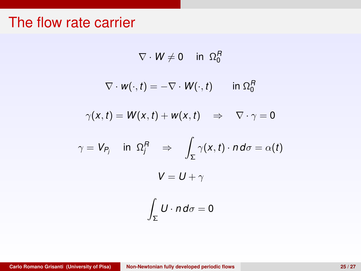$$
\nabla \cdot W \neq 0 \quad \text{in } \Omega_0^H
$$

$$
\nabla \cdot \mathbf{w}(\cdot, t) = -\nabla \cdot \mathbf{W}(\cdot, t) \quad \text{in } \Omega_0^R
$$

$$
\gamma(x,t) = W(x,t) + w(x,t) \quad \Rightarrow \quad \nabla \cdot \gamma = 0
$$

$$
\gamma = V_{P_j} \quad \text{in } \Omega_j^R \quad \Rightarrow \quad \int_{\Sigma} \gamma(x, t) \cdot n \, d\sigma = \alpha(t)
$$
\n
$$
V = U + \gamma
$$
\n
$$
\int_{\Sigma} U \cdot n \, d\sigma = 0
$$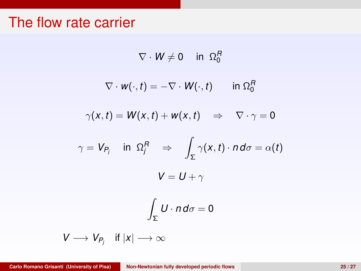$$
\nabla \cdot W \neq 0 \quad \text{in } \Omega_0^H
$$

$$
\nabla \cdot \mathbf{w}(\cdot, t) = -\nabla \cdot \mathbf{W}(\cdot, t) \quad \text{in } \Omega_0^R
$$

$$
\gamma(x,t) = W(x,t) + w(x,t) \quad \Rightarrow \quad \nabla \cdot \gamma = 0
$$

$$
\gamma = V_{P_j} \quad \text{in } \Omega_j^R \quad \Rightarrow \quad \int_{\Sigma} \gamma(x, t) \cdot n \, d\sigma = \alpha(t)
$$
\n
$$
V = U + \gamma
$$

$$
\int_{\Sigma} U \cdot n \, d\sigma = 0
$$

$$
V\longrightarrow V_{P_j}\quad\text{if}\ |x|\longrightarrow\infty
$$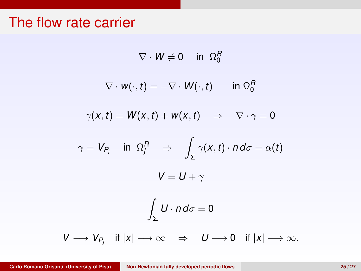$$
\nabla \cdot W \neq 0 \quad \text{in } \Omega_0^H
$$

$$
\nabla \cdot \mathbf{w}(\cdot, t) = -\nabla \cdot \mathbf{W}(\cdot, t) \quad \text{in } \Omega_0^R
$$

$$
\gamma(x,t) = W(x,t) + w(x,t) \quad \Rightarrow \quad \nabla \cdot \gamma = 0
$$

$$
\gamma = V_{P_j} \quad \text{in } \Omega_j^R \quad \Rightarrow \quad \int_{\Sigma} \gamma(x, t) \cdot n \, d\sigma = \alpha(t)
$$
\n
$$
V = U + \gamma
$$

$$
\int_{\Sigma} U \cdot n d\sigma = 0
$$

 $\epsilon$ 

$$
V\longrightarrow V_{P_j}\quad \text{if}\ |x|\longrightarrow\infty\quad \Rightarrow\quad U\longrightarrow 0\quad \text{if}\ |x|\longrightarrow\infty.
$$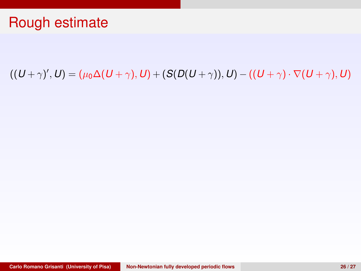$((U + \gamma)'$ ,  $U) = (\mu_0 \Delta (U + \gamma), U) + (S(D(U + \gamma)), U) - ((U + \gamma) \cdot \nabla (U + \gamma), U)$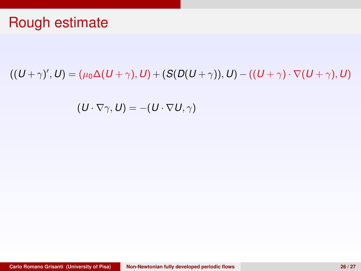$((U + \gamma)'$ ,  $U) = (\mu_0 \Delta (U + \gamma), U) + (S(D(U + \gamma)), U) - ((U + \gamma) \cdot \nabla (U + \gamma), U)$ 

$$
(\boldsymbol{U}\cdot\nabla\gamma,\boldsymbol{U})=-(\boldsymbol{U}\cdot\nabla\boldsymbol{U},\gamma)
$$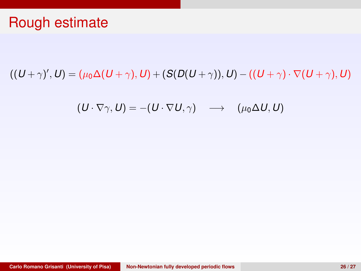$((U + \gamma)'$ ,  $U) = (\mu_0 \Delta (U + \gamma), U) + (S(D(U + \gamma)), U) - ((U + \gamma) \cdot \nabla (U + \gamma), U)$ 

$$
(\mathbf{U}\cdot\nabla\gamma,\mathbf{U})=-(\mathbf{U}\cdot\nabla\mathbf{U},\gamma)\quad\longrightarrow\quad(\mu_0\Delta\mathbf{U},\mathbf{U})
$$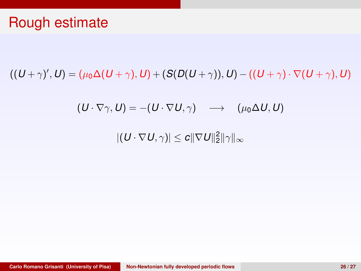$((U + \gamma)'$ ,  $U) = (\mu_0 \Delta (U + \gamma), U) + (S(D(U + \gamma)), U) - ((U + \gamma) \cdot \nabla (U + \gamma), U)$ 

$$
(\mathbf{U}\cdot\nabla\gamma,\mathbf{U})=-(\mathbf{U}\cdot\nabla\mathbf{U},\gamma)\quad\longrightarrow\quad(\mu_0\Delta\mathbf{U},\mathbf{U})
$$

 $|(\bm{U}\cdot \nabla \bm{U},\gamma)|\leq \bm{c} \|\nabla \bm{U}\|_2^2\|\gamma\|_\infty$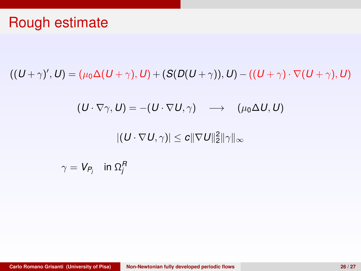$((U + \gamma)'$ ,  $U) = (\mu_0 \Delta (U + \gamma), U) + (S(D(U + \gamma)), U) - ((U + \gamma) \cdot \nabla (U + \gamma), U)$ 

$$
(\mathbf{U}\cdot\nabla\gamma,\mathbf{U})=-(\mathbf{U}\cdot\nabla\mathbf{U},\gamma)\quad\longrightarrow\quad(\mu_0\Delta\mathbf{U},\mathbf{U})
$$

 $|(\bm{U}\cdot \nabla \bm{U},\gamma)|\leq \bm{c} \|\nabla \bm{U}\|_2^2\|\gamma\|_\infty$ 

$$
\gamma = V_{P_j} \quad \text{in } \Omega_j^R
$$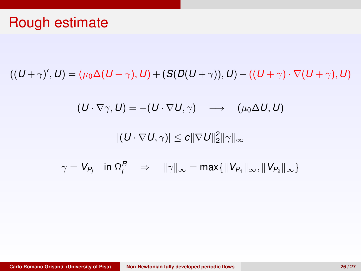### Rough estimate

 $((U + \gamma)'$ ,  $U) = (\mu_0 \Delta (U + \gamma), U) + (S(D(U + \gamma)), U) - ((U + \gamma) \cdot \nabla (U + \gamma), U)$ 

$$
(\boldsymbol{U}\cdot\nabla\gamma,\boldsymbol{U})=-(\boldsymbol{U}\cdot\nabla\boldsymbol{U},\gamma)\quad\longrightarrow\quad(\mu_0\Delta\boldsymbol{U},\boldsymbol{U})
$$

 $|(\bm{U}\cdot \nabla \bm{U},\gamma)|\leq \bm{c} \|\nabla \bm{U}\|_2^2\|\gamma\|_\infty$ 

$$
\gamma = V_{P_j} \quad \text{in } \Omega_j^R \quad \Rightarrow \quad ||\gamma||_{\infty} = \max\{||V_{P_1}||_{\infty}, ||V_{P_2}||_{\infty}\}
$$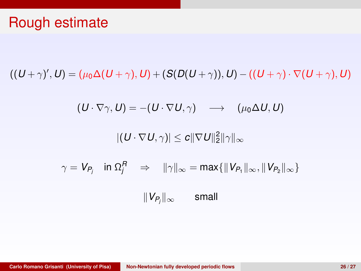### Rough estimate

 $((U + \gamma)'$ ,  $U) = (\mu_0 \Delta (U + \gamma), U) + (S(D(U + \gamma)), U) - ((U + \gamma) \cdot \nabla (U + \gamma), U)$ 

$$
(\boldsymbol{U}\cdot\nabla\gamma,\boldsymbol{U})=-(\boldsymbol{U}\cdot\nabla\boldsymbol{U},\gamma)\quad\longrightarrow\quad(\mu_0\Delta\boldsymbol{U},\boldsymbol{U})
$$

 $|(\bm{U}\cdot \nabla \bm{U},\gamma)|\leq \bm{c} \|\nabla \bm{U}\|_2^2\|\gamma\|_\infty$ 

$$
\gamma = V_{P_j} \quad \text{in } \Omega_j^R \quad \Rightarrow \quad \|\gamma\|_\infty = \max\{\|V_{P_1}\|_\infty, \|V_{P_2}\|_\infty\}
$$

 $||V_{P_i}||_{\infty}$ small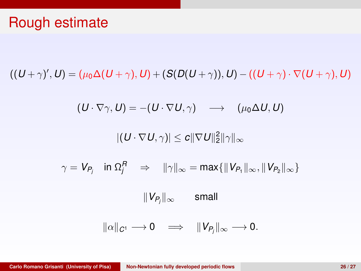### Rough estimate

 $((U + \gamma)'$ ,  $U) = (\mu_0 \Delta (U + \gamma), U) + (S(D(U + \gamma)), U) - ((U + \gamma) \cdot \nabla (U + \gamma), U)$ 

$$
(\boldsymbol{U}\cdot\nabla\gamma,\boldsymbol{U})=-(\boldsymbol{U}\cdot\nabla\boldsymbol{U},\gamma)\quad\longrightarrow\quad(\mu_0\Delta\boldsymbol{U},\boldsymbol{U})
$$

 $|(\bm{U}\cdot \nabla \bm{U},\gamma)|\leq \bm{c} \|\nabla \bm{U}\|_2^2\|\gamma\|_\infty$ 

 $\gamma = V_{P_j} \quad \text{in $\Omega_j^R$} \quad \Rightarrow \quad \|\gamma\|_{\infty} = \text{max}\{\|V_{P_1}\|_{\infty}, \|V_{P_2}\|_{\infty}\}$ 

k*V<sup>P</sup><sup>j</sup>* k<sup>∞</sup> small

$$
\|\alpha\|_{C^1}\longrightarrow 0\quad\Longrightarrow\quad\|V_{P_j}\|_\infty\longrightarrow 0.
$$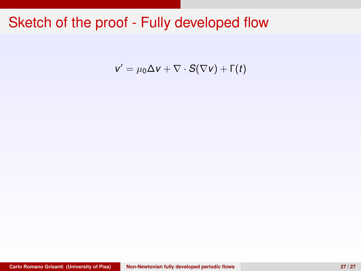$$
v' = \mu_0 \Delta v + \nabla \cdot S(\nabla v) + \Gamma(t)
$$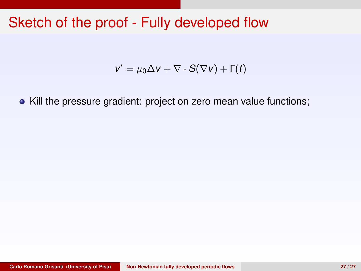$$
v' = \mu_0 \Delta v + \nabla \cdot S(\nabla v) + \Gamma(t)
$$

• Kill the pressure gradient: project on zero mean value functions;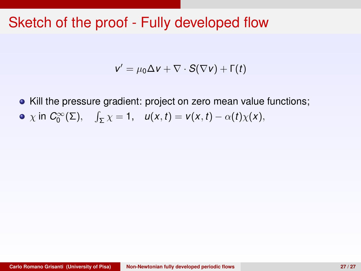$$
v' = \mu_0 \Delta v + \nabla \cdot S(\nabla v) + \Gamma(t)
$$

• Kill the pressure gradient: project on zero mean value functions;  $\chi$  in  $C_0^{\infty}(\Sigma)$ ,  $\int_{\Sigma} \chi = 1$ ,  $u(x, t) = v(x, t) - \alpha(t)\chi(x)$ ,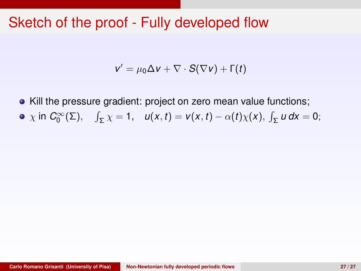$$
v' = \mu_0 \Delta v + \nabla \cdot S(\nabla v) + \Gamma(t)
$$

• Kill the pressure gradient: project on zero mean value functions;  $\chi$  in  $C_0^{\infty}(\Sigma)$ ,  $\int_{\Sigma} \chi = 1$ ,  $u(x, t) = v(x, t) - \alpha(t)\chi(x)$ ,  $\int_{\Sigma} u dx = 0$ ;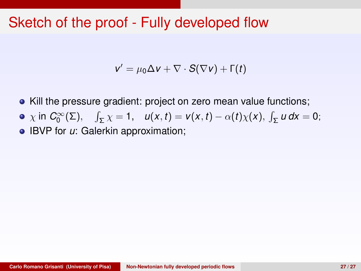$$
v' = \mu_0 \Delta v + \nabla \cdot S(\nabla v) + \Gamma(t)
$$

- Kill the pressure gradient: project on zero mean value functions;
- $\chi$  in  $C_0^{\infty}(\Sigma)$ ,  $\int_{\Sigma} \chi = 1$ ,  $u(x, t) = v(x, t) \alpha(t)\chi(x)$ ,  $\int_{\Sigma} u dx = 0$ ;
- **IBVP** for *u*: Galerkin approximation;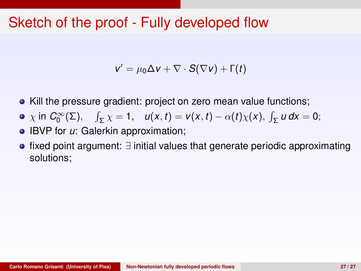$$
v' = \mu_0 \Delta v + \nabla \cdot S(\nabla v) + \Gamma(t)
$$

- Kill the pressure gradient: project on zero mean value functions;
- $\chi$  in  $C_0^{\infty}(\Sigma)$ ,  $\int_{\Sigma} \chi = 1$ ,  $u(x, t) = v(x, t) \alpha(t)\chi(x)$ ,  $\int_{\Sigma} u dx = 0$ ;
- **IBVP** for *u*: Galerkin approximation;
- fixed point argument: ∃ initial values that generate periodic approximating solutions;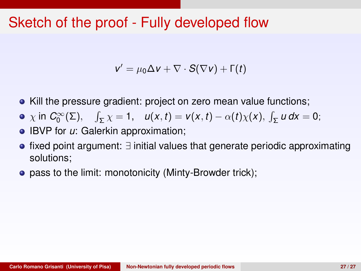$$
v' = \mu_0 \Delta v + \nabla \cdot S(\nabla v) + \Gamma(t)
$$

- Kill the pressure gradient: project on zero mean value functions;
- $\chi$  in  $C_0^{\infty}(\Sigma)$ ,  $\int_{\Sigma} \chi = 1$ ,  $u(x, t) = v(x, t) \alpha(t)\chi(x)$ ,  $\int_{\Sigma} u dx = 0$ ;
- **IBVP** for *u*: Galerkin approximation;
- fixed point argument: ∃ initial values that generate periodic approximating solutions;
- pass to the limit: monotonicity (Minty-Browder trick);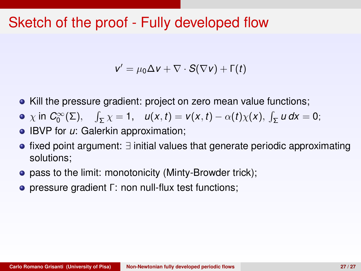$$
v' = \mu_0 \Delta v + \nabla \cdot S(\nabla v) + \Gamma(t)
$$

- Kill the pressure gradient: project on zero mean value functions;
- $\chi$  in  $C_0^{\infty}(\Sigma)$ ,  $\int_{\Sigma} \chi = 1$ ,  $u(x, t) = v(x, t) \alpha(t)\chi(x)$ ,  $\int_{\Sigma} u dx = 0$ ;
- **IBVP** for *u*: Galerkin approximation;
- fixed point argument: ∃ initial values that generate periodic approximating solutions;
- pass to the limit: monotonicity (Minty-Browder trick);
- pressure gradient Γ: non null-flux test functions;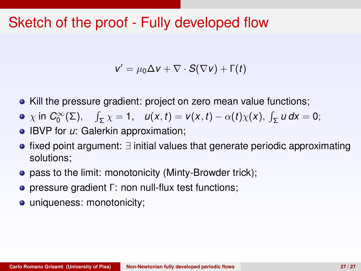$$
v' = \mu_0 \Delta v + \nabla \cdot S(\nabla v) + \Gamma(t)
$$

- Kill the pressure gradient: project on zero mean value functions;
- $\chi$  in  $C_0^{\infty}(\Sigma)$ ,  $\int_{\Sigma} \chi = 1$ ,  $u(x, t) = v(x, t) \alpha(t)\chi(x)$ ,  $\int_{\Sigma} u dx = 0$ ;
- **IBVP** for *u*: Galerkin approximation;
- fixed point argument: ∃ initial values that generate periodic approximating solutions;
- pass to the limit: monotonicity (Minty-Browder trick);
- pressure gradient Γ: non null-flux test functions;
- uniqueness: monotonicity;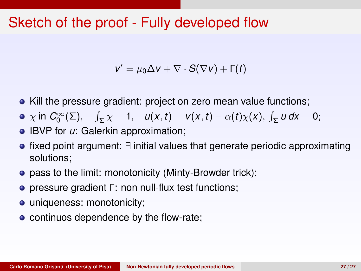$$
v' = \mu_0 \Delta v + \nabla \cdot S(\nabla v) + \Gamma(t)
$$

- Kill the pressure gradient: project on zero mean value functions;
- $\chi$  in  $C_0^{\infty}(\Sigma)$ ,  $\int_{\Sigma} \chi = 1$ ,  $u(x, t) = v(x, t) \alpha(t)\chi(x)$ ,  $\int_{\Sigma} u dx = 0$ ;
- **IBVP** for *u*: Galerkin approximation;
- fixed point argument: ∃ initial values that generate periodic approximating solutions;
- pass to the limit: monotonicity (Minty-Browder trick);
- pressure gradient Γ: non null-flux test functions;
- uniqueness: monotonicity;
- continuos dependence by the flow-rate;